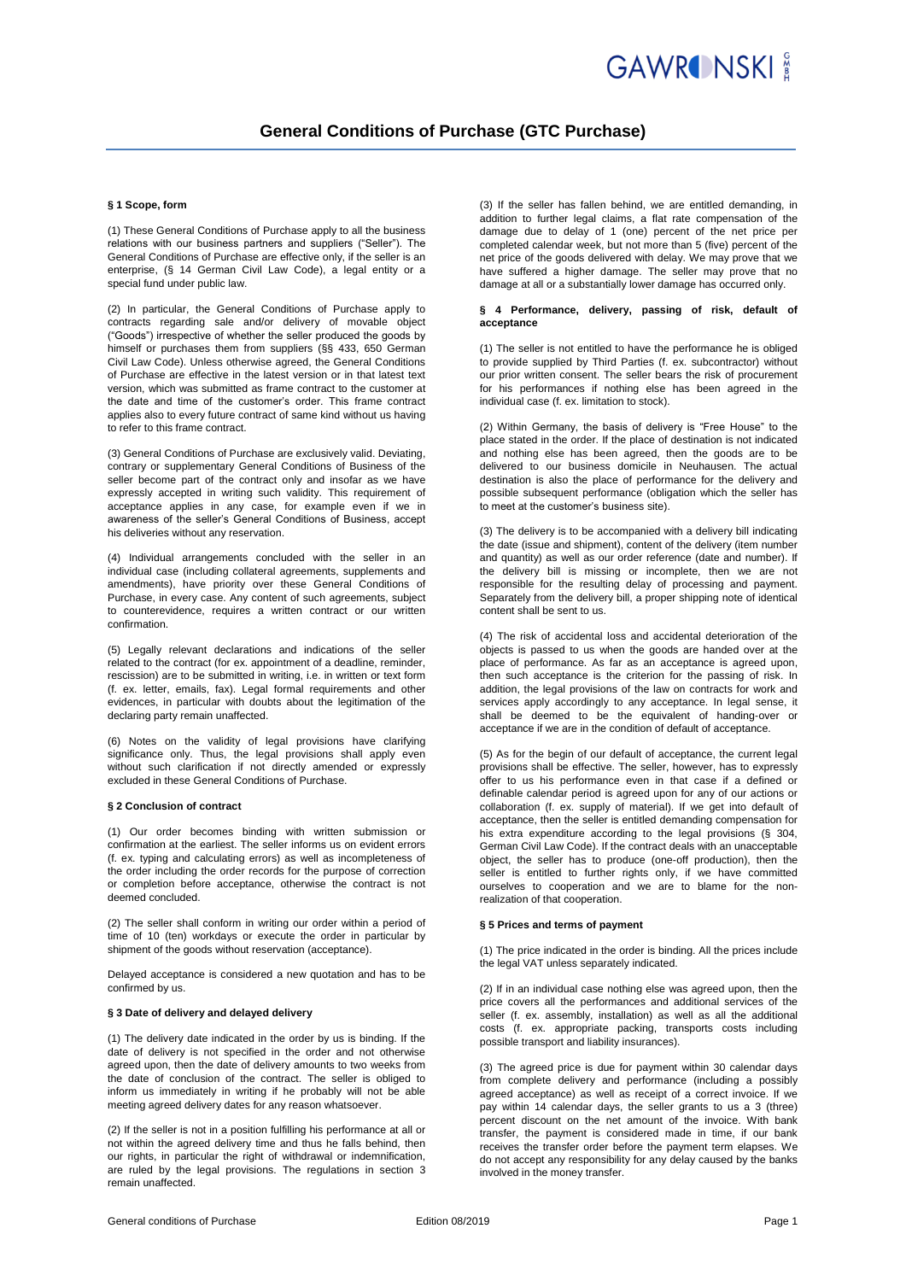

## **General Conditions of Purchase (GTC Purchase)**

#### **§ 1 Scope, form**

(1) These General Conditions of Purchase apply to all the business relations with our business partners and suppliers ("Seller"). The General Conditions of Purchase are effective only, if the seller is an enterprise, (§ 14 German Civil Law Code), a legal entity or a special fund under public law.

(2) In particular, the General Conditions of Purchase apply to contracts regarding sale and/or delivery of movable object ("Goods") irrespective of whether the seller produced the goods by himself or purchases them from suppliers (§§ 433, 650 German Civil Law Code). Unless otherwise agreed, the General Conditions of Purchase are effective in the latest version or in that latest text version, which was submitted as frame contract to the customer at the date and time of the customer's order. This frame contract applies also to every future contract of same kind without us having to refer to this frame contract.

(3) General Conditions of Purchase are exclusively valid. Deviating, contrary or supplementary General Conditions of Business of the seller become part of the contract only and insofar as we have expressly accepted in writing such validity. This requirement of acceptance applies in any case, for example even if we in awareness of the seller's General Conditions of Business, accept his deliveries without any reservation.

(4) Individual arrangements concluded with the seller in an individual case (including collateral agreements, supplements and amendments), have priority over these General Conditions of Purchase, in every case. Any content of such agreements, subject to counterevidence, requires a written contract or our written confirmation.

(5) Legally relevant declarations and indications of the seller related to the contract (for ex. appointment of a deadline, reminder, rescission) are to be submitted in writing, i.e. in written or text form (f. ex. letter, emails, fax). Legal formal requirements and other evidences, in particular with doubts about the legitimation of the declaring party remain unaffected.

(6) Notes on the validity of legal provisions have clarifying significance only. Thus, the legal provisions shall apply even without such clarification if not directly amended or expressly excluded in these General Conditions of Purchase.

#### **§ 2 Conclusion of contract**

(1) Our order becomes binding with written submission or confirmation at the earliest. The seller informs us on evident errors (f. ex. typing and calculating errors) as well as incompleteness of the order including the order records for the purpose of correction or completion before acceptance, otherwise the contract is not deemed concluded.

(2) The seller shall conform in writing our order within a period of time of 10 (ten) workdays or execute the order in particular by shipment of the goods without reservation (acceptance).

Delayed acceptance is considered a new quotation and has to be confirmed by us.

#### **§ 3 Date of delivery and delayed delivery**

(1) The delivery date indicated in the order by us is binding. If the date of delivery is not specified in the order and not otherwise agreed upon, then the date of delivery amounts to two weeks from the date of conclusion of the contract. The seller is obliged to inform us immediately in writing if he probably will not be able meeting agreed delivery dates for any reason whatsoever.

(2) If the seller is not in a position fulfilling his performance at all or not within the agreed delivery time and thus he falls behind, then our rights, in particular the right of withdrawal or indemnification, are ruled by the legal provisions. The regulations in section 3 remain unaffected.

(3) If the seller has fallen behind, we are entitled demanding, in addition to further legal claims, a flat rate compensation of the damage due to delay of 1 (one) percent of the net price per completed calendar week, but not more than 5 (five) percent of the net price of the goods delivered with delay. We may prove that we have suffered a higher damage. The seller may prove that no damage at all or a substantially lower damage has occurred only.

#### **§ 4 Performance, delivery, passing of risk, default of acceptance**

(1) The seller is not entitled to have the performance he is obliged to provide supplied by Third Parties (f. ex. subcontractor) without our prior written consent. The seller bears the risk of procurement for his performances if nothing else has been agreed in the individual case (f. ex. limitation to stock).

(2) Within Germany, the basis of delivery is "Free House" to the place stated in the order. If the place of destination is not indicated and nothing else has been agreed, then the goods are to be delivered to our business domicile in Neuhausen. The actual destination is also the place of performance for the delivery and possible subsequent performance (obligation which the seller has to meet at the customer's business site).

(3) The delivery is to be accompanied with a delivery bill indicating the date (issue and shipment), content of the delivery (item number and quantity) as well as our order reference (date and number). If the delivery bill is missing or incomplete, then we are not responsible for the resulting delay of processing and payment. Separately from the delivery bill, a proper shipping note of identical content shall be sent to us.

(4) The risk of accidental loss and accidental deterioration of the objects is passed to us when the goods are handed over at the place of performance. As far as an acceptance is agreed upon, then such acceptance is the criterion for the passing of risk. In addition, the legal provisions of the law on contracts for work and services apply accordingly to any acceptance. In legal sense, it shall be deemed to be the equivalent of handing-over or acceptance if we are in the condition of default of acceptance.

(5) As for the begin of our default of acceptance, the current legal provisions shall be effective. The seller, however, has to expressly offer to us his performance even in that case if a defined or definable calendar period is agreed upon for any of our actions or collaboration (f. ex. supply of material). If we get into default of acceptance, then the seller is entitled demanding compensation for his extra expenditure according to the legal provisions (§ 304, German Civil Law Code). If the contract deals with an unacceptable object, the seller has to produce (one-off production), then the seller is entitled to further rights only, if we have committed ourselves to cooperation and we are to blame for the nonrealization of that cooperation.

#### **§ 5 Prices and terms of payment**

(1) The price indicated in the order is binding. All the prices include the legal VAT unless separately indicated.

(2) If in an individual case nothing else was agreed upon, then the price covers all the performances and additional services of the seller (f. ex. assembly, installation) as well as all the additional costs (f. ex. appropriate packing, transports costs including possible transport and liability insurances).

(3) The agreed price is due for payment within 30 calendar days from complete delivery and performance (including a possibly agreed acceptance) as well as receipt of a correct invoice. If we pay within 14 calendar days, the seller grants to us a 3 (three) percent discount on the net amount of the invoice. With bank transfer, the payment is considered made in time, if our bank receives the transfer order before the payment term elapses. We do not accept any responsibility for any delay caused by the banks involved in the money transfer.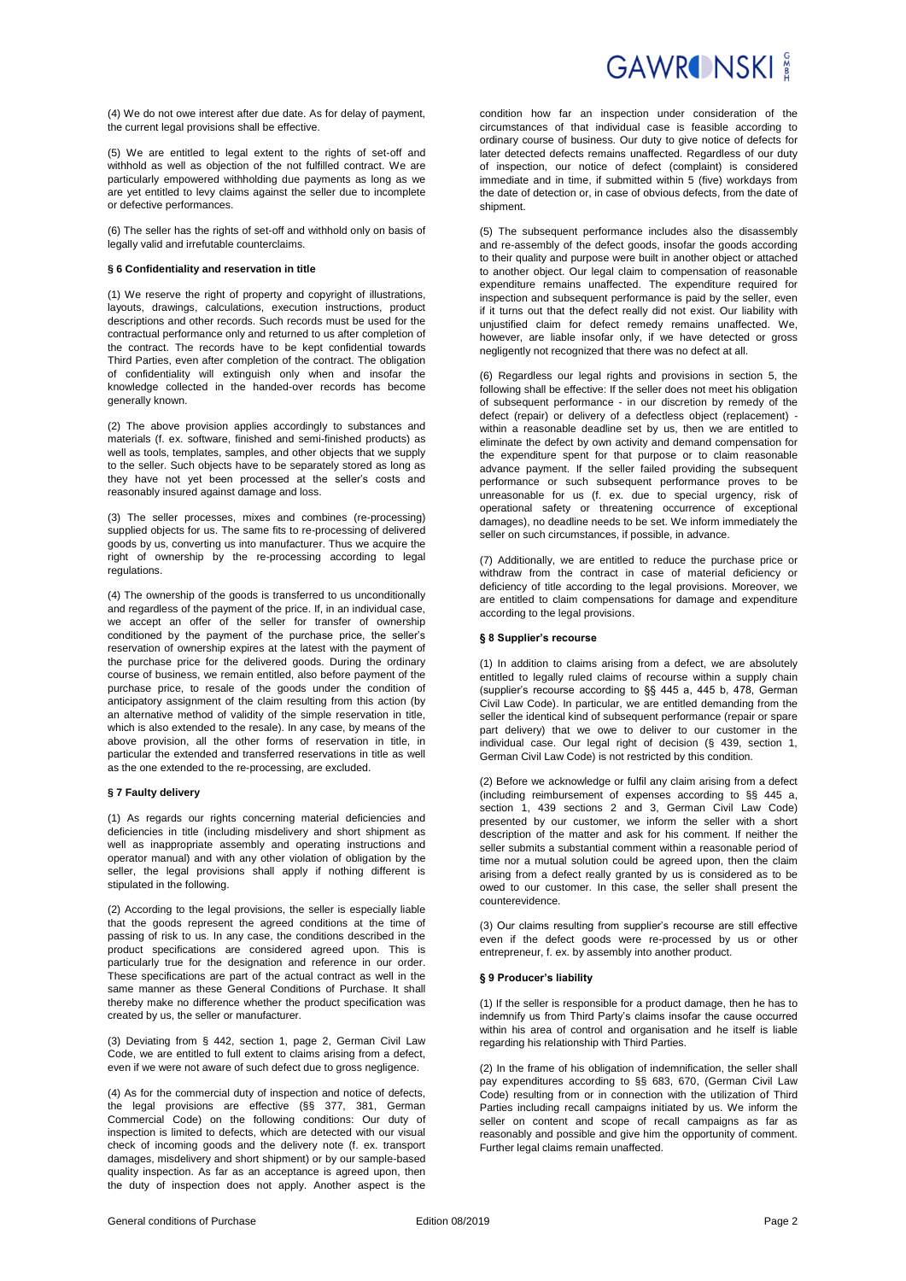

(4) We do not owe interest after due date. As for delay of payment, the current legal provisions shall be effective.

(5) We are entitled to legal extent to the rights of set-off and withhold as well as objection of the not fulfilled contract. We are particularly empowered withholding due payments as long as we are yet entitled to levy claims against the seller due to incomplete or defective performances.

(6) The seller has the rights of set-off and withhold only on basis of legally valid and irrefutable counterclaims.

### **§ 6 Confidentiality and reservation in title**

(1) We reserve the right of property and copyright of illustrations, layouts, drawings, calculations, execution instructions, product descriptions and other records. Such records must be used for the contractual performance only and returned to us after completion of the contract. The records have to be kept confidential towards Third Parties, even after completion of the contract. The obligation of confidentiality will extinguish only when and insofar the knowledge collected in the handed-over records has become generally known.

(2) The above provision applies accordingly to substances and materials (f. ex. software, finished and semi-finished products) as well as tools, templates, samples, and other objects that we supply to the seller. Such objects have to be separately stored as long as they have not yet been processed at the seller's costs and reasonably insured against damage and loss.

(3) The seller processes, mixes and combines (re-processing) supplied objects for us. The same fits to re-processing of delivered goods by us, converting us into manufacturer. Thus we acquire the right of ownership by the re-processing according to legal regulations.

(4) The ownership of the goods is transferred to us unconditionally and regardless of the payment of the price. If, in an individual case, we accept an offer of the seller for transfer of ownership conditioned by the payment of the purchase price, the seller's reservation of ownership expires at the latest with the payment of the purchase price for the delivered goods. During the ordinary course of business, we remain entitled, also before payment of the purchase price, to resale of the goods under the condition of anticipatory assignment of the claim resulting from this action (by an alternative method of validity of the simple reservation in title, which is also extended to the resale). In any case, by means of the above provision, all the other forms of reservation in title, in particular the extended and transferred reservations in title as well as the one extended to the re-processing, are excluded.

#### **§ 7 Faulty delivery**

(1) As regards our rights concerning material deficiencies and deficiencies in title (including misdelivery and short shipment as well as inappropriate assembly and operating instructions and operator manual) and with any other violation of obligation by the seller, the legal provisions shall apply if nothing different is stipulated in the following.

(2) According to the legal provisions, the seller is especially liable that the goods represent the agreed conditions at the time of passing of risk to us. In any case, the conditions described in the product specifications are considered agreed upon. This is particularly true for the designation and reference in our order. These specifications are part of the actual contract as well in the same manner as these General Conditions of Purchase. It shall thereby make no difference whether the product specification was created by us, the seller or manufacturer.

(3) Deviating from § 442, section 1, page 2, German Civil Law Code, we are entitled to full extent to claims arising from a defect, even if we were not aware of such defect due to gross negligence.

(4) As for the commercial duty of inspection and notice of defects, the legal provisions are effective (§§ 377, 381, German Commercial Code) on the following conditions: Our duty of inspection is limited to defects, which are detected with our visual check of incoming goods and the delivery note (f. ex. transport damages, misdelivery and short shipment) or by our sample-based quality inspection. As far as an acceptance is agreed upon, then the duty of inspection does not apply. Another aspect is the

condition how far an inspection under consideration of the circumstances of that individual case is feasible according to ordinary course of business. Our duty to give notice of defects for later detected defects remains unaffected. Regardless of our duty of inspection, our notice of defect (complaint) is considered immediate and in time, if submitted within 5 (five) workdays from the date of detection or, in case of obvious defects, from the date of shipment.

(5) The subsequent performance includes also the disassembly and re-assembly of the defect goods, insofar the goods according to their quality and purpose were built in another object or attached to another object. Our legal claim to compensation of reasonable expenditure remains unaffected. The expenditure required for inspection and subsequent performance is paid by the seller, even if it turns out that the defect really did not exist. Our liability with unjustified claim for defect remedy remains unaffected. We, however, are liable insofar only, if we have detected or gross negligently not recognized that there was no defect at all.

(6) Regardless our legal rights and provisions in section 5, the following shall be effective: If the seller does not meet his obligation of subsequent performance - in our discretion by remedy of the defect (repair) or delivery of a defectless object (replacement) within a reasonable deadline set by us, then we are entitled to eliminate the defect by own activity and demand compensation for the expenditure spent for that purpose or to claim reasonable advance payment. If the seller failed providing the subsequent performance or such subsequent performance proves to be unreasonable for us (f. ex. due to special urgency, risk of operational safety or threatening occurrence of exceptional damages), no deadline needs to be set. We inform immediately the seller on such circumstances, if possible, in advance.

(7) Additionally, we are entitled to reduce the purchase price or withdraw from the contract in case of material deficiency or deficiency of title according to the legal provisions. Moreover, we are entitled to claim compensations for damage and expenditure according to the legal provisions.

#### **§ 8 Supplier's recourse**

(1) In addition to claims arising from a defect, we are absolutely entitled to legally ruled claims of recourse within a supply chain (supplier's recourse according to §§ 445 a, 445 b, 478, German Civil Law Code). In particular, we are entitled demanding from the seller the identical kind of subsequent performance (repair or spare part delivery) that we owe to deliver to our customer in the individual case. Our legal right of decision (§ 439, section 1, German Civil Law Code) is not restricted by this condition.

(2) Before we acknowledge or fulfil any claim arising from a defect (including reimbursement of expenses according to §§ 445 a, section 1, 439 sections 2 and 3, German Civil Law Code) presented by our customer, we inform the seller with a short description of the matter and ask for his comment. If neither the seller submits a substantial comment within a reasonable period of time nor a mutual solution could be agreed upon, then the claim arising from a defect really granted by us is considered as to be owed to our customer. In this case, the seller shall present the counterevidence.

(3) Our claims resulting from supplier's recourse are still effective even if the defect goods were re-processed by us or other entrepreneur, f. ex. by assembly into another product.

#### **§ 9 Producer's liability**

(1) If the seller is responsible for a product damage, then he has to indemnify us from Third Party's claims insofar the cause occurred within his area of control and organisation and he itself is liable regarding his relationship with Third Parties.

(2) In the frame of his obligation of indemnification, the seller shall pay expenditures according to §§ 683, 670, (German Civil Law Code) resulting from or in connection with the utilization of Third Parties including recall campaigns initiated by us. We inform the seller on content and scope of recall campaigns as far as reasonably and possible and give him the opportunity of comment. Further legal claims remain unaffected.